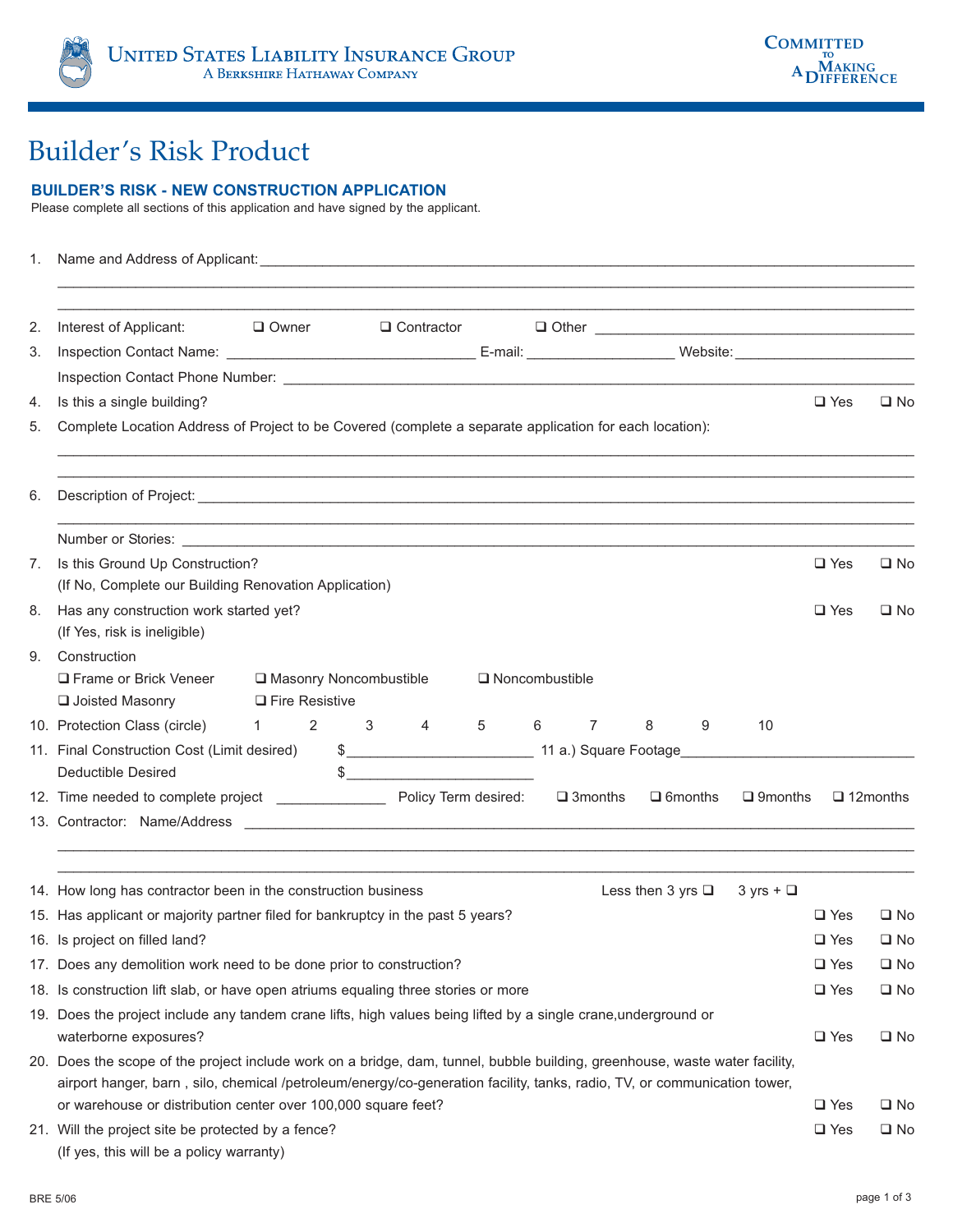## Builder's Risk Product

## **BUILDER'S RISK - NEW CONSTRUCTION APPLICATION**

Please complete all sections of this application and have signed by the applicant.

| 1. |                                                                                                                                                                                                                                                                                                                          |               |                  |  |  |  |
|----|--------------------------------------------------------------------------------------------------------------------------------------------------------------------------------------------------------------------------------------------------------------------------------------------------------------------------|---------------|------------------|--|--|--|
| 2. | <u> 1989 - Johann Barn, mars and de Branch Barn, mars and de Branch Barn, mars and de Branch Barn, mars and de Br</u><br>Interest of Applicant:<br><b>D</b> Owner                                                                                                                                                        |               |                  |  |  |  |
| 3. |                                                                                                                                                                                                                                                                                                                          |               |                  |  |  |  |
|    |                                                                                                                                                                                                                                                                                                                          |               |                  |  |  |  |
| 4. | Is this a single building?                                                                                                                                                                                                                                                                                               | $\Box$ Yes    | $\square$ No     |  |  |  |
| 5. | Complete Location Address of Project to be Covered (complete a separate application for each location):                                                                                                                                                                                                                  |               |                  |  |  |  |
| 6. | ,我们也不能在这里的人,我们也不能在这里的人,我们也不能在这里的人,我们也不能不能不能不能不能不能不能不能不能不能。""我们,我们也不能不能不能不能不能不能不能<br>Description of Project: <u>example and the set of the set of the set of the set of the set of the set of the set of the set of the set of the set of the set of the set of the set of the set of the set of the set of the set o</u> |               |                  |  |  |  |
|    |                                                                                                                                                                                                                                                                                                                          |               |                  |  |  |  |
| 7. | Is this Ground Up Construction?<br>(If No, Complete our Building Renovation Application)                                                                                                                                                                                                                                 | $\Box$ Yes    | $\square$ No     |  |  |  |
| 8. | Has any construction work started yet?<br>(If Yes, risk is ineligible)                                                                                                                                                                                                                                                   | $\Box$ Yes    | $\square$ No     |  |  |  |
| 9. | Construction<br>□ Frame or Brick Veneer<br>□ Masonry Noncombustible<br>$\Box$ Noncombustible<br>□ Joisted Masonry<br>$\Box$ Fire Resistive                                                                                                                                                                               |               |                  |  |  |  |
|    | 10. Protection Class (circle) $1 \t2 \t3 \t4 \t5 \t6 \t7 \t8$<br>9<br>10                                                                                                                                                                                                                                                 |               |                  |  |  |  |
|    | 11. Final Construction Cost (Limit desired)<br><b>Deductible Desired</b>                                                                                                                                                                                                                                                 |               |                  |  |  |  |
|    | $\square$ 9months                                                                                                                                                                                                                                                                                                        |               | $\Box$ 12 months |  |  |  |
|    |                                                                                                                                                                                                                                                                                                                          |               |                  |  |  |  |
|    |                                                                                                                                                                                                                                                                                                                          |               |                  |  |  |  |
|    | 14. How long has contractor been in the construction business<br>Less then 3 yrs $\Box$<br>$3 \text{ yrs} + \square$                                                                                                                                                                                                     |               |                  |  |  |  |
|    | 15. Has applicant or majority partner filed for bankruptcy in the past 5 years?                                                                                                                                                                                                                                          | $\Box$ Yes    | $\square$ No     |  |  |  |
|    | 16. Is project on filled land?                                                                                                                                                                                                                                                                                           | $\square$ Yes | $\square$ No     |  |  |  |
|    | 17. Does any demolition work need to be done prior to construction?                                                                                                                                                                                                                                                      | $\square$ Yes | $\square$ No     |  |  |  |
|    | 18. Is construction lift slab, or have open atriums equaling three stories or more<br>19. Does the project include any tandem crane lifts, high values being lifted by a single crane, underground or                                                                                                                    | $\square$ Yes | $\square$ No     |  |  |  |
|    | waterborne exposures?                                                                                                                                                                                                                                                                                                    | $\square$ Yes | $\Box$ No        |  |  |  |
|    | 20. Does the scope of the project include work on a bridge, dam, tunnel, bubble building, greenhouse, waste water facility,<br>airport hanger, barn, silo, chemical /petroleum/energy/co-generation facility, tanks, radio, TV, or communication tower,                                                                  |               |                  |  |  |  |
|    | or warehouse or distribution center over 100,000 square feet?                                                                                                                                                                                                                                                            | $\square$ Yes | $\square$ No     |  |  |  |
|    | 21. Will the project site be protected by a fence?                                                                                                                                                                                                                                                                       | $\square$ Yes | $\square$ No     |  |  |  |
|    | (If yes, this will be a policy warranty)                                                                                                                                                                                                                                                                                 |               |                  |  |  |  |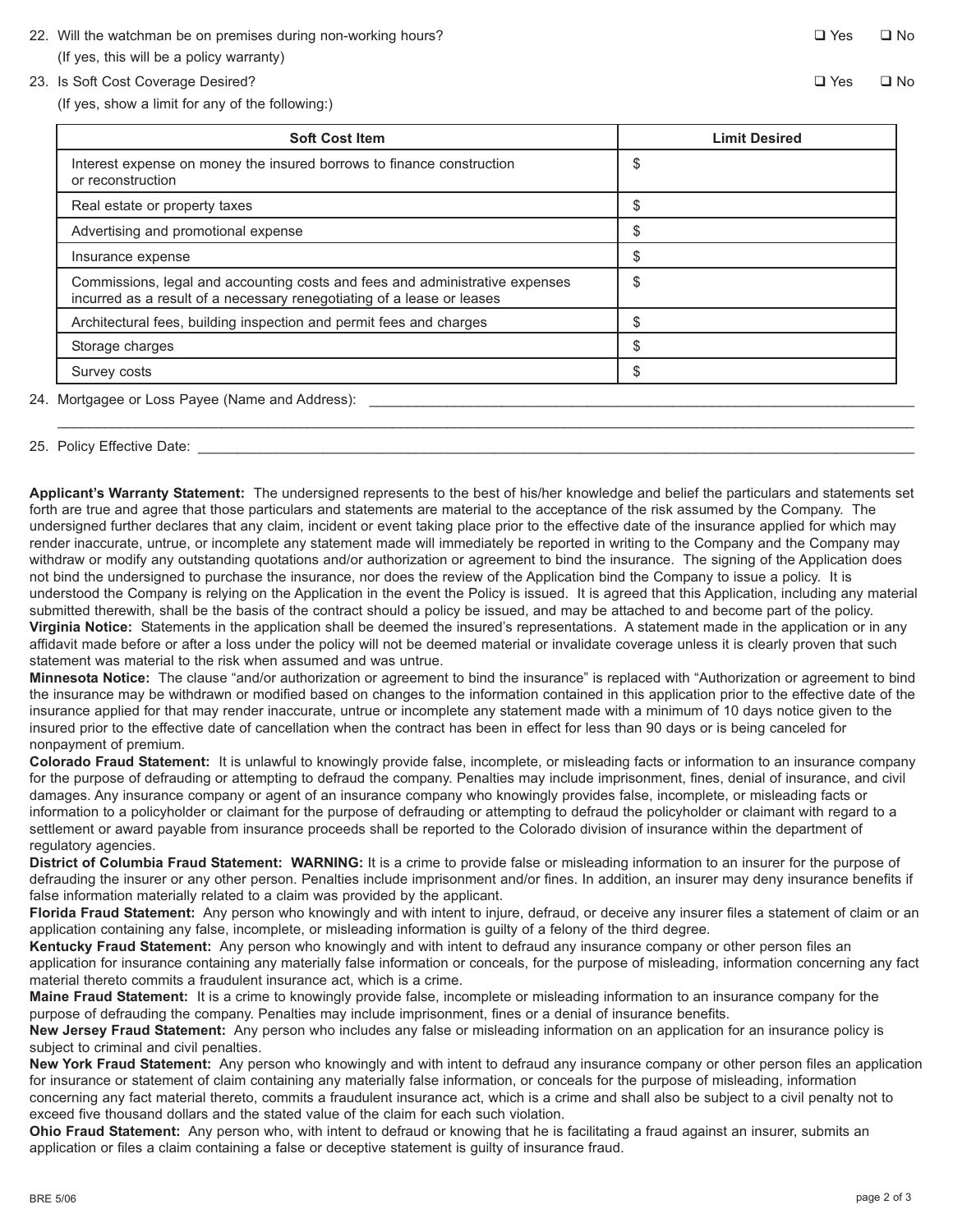- 22. Will the watchman be on premises during non-working hours? (If yes, this will be a policy warranty)
- 23. Is Soft Cost Coverage Desired?

(If yes, show a limit for any of the following:)

| <b>Soft Cost Item</b>                                                                                                                                  | <b>Limit Desired</b> |
|--------------------------------------------------------------------------------------------------------------------------------------------------------|----------------------|
| Interest expense on money the insured borrows to finance construction<br>or reconstruction                                                             | \$                   |
| Real estate or property taxes                                                                                                                          | \$                   |
| Advertising and promotional expense                                                                                                                    | S                    |
| Insurance expense                                                                                                                                      |                      |
| Commissions, legal and accounting costs and fees and administrative expenses<br>incurred as a result of a necessary renegotiating of a lease or leases | \$                   |
| Architectural fees, building inspection and permit fees and charges                                                                                    | S                    |
| Storage charges                                                                                                                                        |                      |
| Survey costs                                                                                                                                           |                      |

\_\_\_\_\_\_\_\_\_\_\_\_\_\_\_\_\_\_\_\_\_\_\_\_\_\_\_\_\_\_\_\_\_\_\_\_\_\_\_\_\_\_\_\_\_\_\_\_\_\_\_\_\_\_\_\_\_\_\_\_\_\_\_\_\_\_\_\_\_\_\_\_\_\_\_\_\_\_\_\_\_\_\_\_\_\_\_\_\_\_\_\_\_\_\_\_\_\_\_\_\_\_\_\_\_\_\_\_\_\_

## 25. Policy Effective Date: \_

**Applicant's Warranty Statement:** The undersigned represents to the best of his/her knowledge and belief the particulars and statements set forth are true and agree that those particulars and statements are material to the acceptance of the risk assumed by the Company. The undersigned further declares that any claim, incident or event taking place prior to the effective date of the insurance applied for which may render inaccurate, untrue, or incomplete any statement made will immediately be reported in writing to the Company and the Company may withdraw or modify any outstanding quotations and/or authorization or agreement to bind the insurance. The signing of the Application does not bind the undersigned to purchase the insurance, nor does the review of the Application bind the Company to issue a policy. It is understood the Company is relying on the Application in the event the Policy is issued. It is agreed that this Application, including any material submitted therewith, shall be the basis of the contract should a policy be issued, and may be attached to and become part of the policy. **Virginia Notice:** Statements in the application shall be deemed the insured's representations. A statement made in the application or in any affidavit made before or after a loss under the policy will not be deemed material or invalidate coverage unless it is clearly proven that such statement was material to the risk when assumed and was untrue.

**Minnesota Notice:** The clause "and/or authorization or agreement to bind the insurance" is replaced with "Authorization or agreement to bind the insurance may be withdrawn or modified based on changes to the information contained in this application prior to the effective date of the insurance applied for that may render inaccurate, untrue or incomplete any statement made with a minimum of 10 days notice given to the insured prior to the effective date of cancellation when the contract has been in effect for less than 90 days or is being canceled for nonpayment of premium.

**Colorado Fraud Statement:** It is unlawful to knowingly provide false, incomplete, or misleading facts or information to an insurance company for the purpose of defrauding or attempting to defraud the company. Penalties may include imprisonment, fines, denial of insurance, and civil damages. Any insurance company or agent of an insurance company who knowingly provides false, incomplete, or misleading facts or information to a policyholder or claimant for the purpose of defrauding or attempting to defraud the policyholder or claimant with regard to a settlement or award payable from insurance proceeds shall be reported to the Colorado division of insurance within the department of regulatory agencies.

**District of Columbia Fraud Statement: WARNING:** It is a crime to provide false or misleading information to an insurer for the purpose of defrauding the insurer or any other person. Penalties include imprisonment and/or fines. In addition, an insurer may deny insurance benefits if false information materially related to a claim was provided by the applicant.

**Florida Fraud Statement:** Any person who knowingly and with intent to injure, defraud, or deceive any insurer files a statement of claim or an application containing any false, incomplete, or misleading information is guilty of a felony of the third degree.

**Kentucky Fraud Statement:** Any person who knowingly and with intent to defraud any insurance company or other person files an application for insurance containing any materially false information or conceals, for the purpose of misleading, information concerning any fact material thereto commits a fraudulent insurance act, which is a crime.

**Maine Fraud Statement:** It is a crime to knowingly provide false, incomplete or misleading information to an insurance company for the purpose of defrauding the company. Penalties may include imprisonment, fines or a denial of insurance benefits.

**New Jersey Fraud Statement:** Any person who includes any false or misleading information on an application for an insurance policy is subject to criminal and civil penalties.

**New York Fraud Statement:** Any person who knowingly and with intent to defraud any insurance company or other person files an application for insurance or statement of claim containing any materially false information, or conceals for the purpose of misleading, information concerning any fact material thereto, commits a fraudulent insurance act, which is a crime and shall also be subject to a civil penalty not to exceed five thousand dollars and the stated value of the claim for each such violation.

**Ohio Fraud Statement:** Any person who, with intent to defraud or knowing that he is facilitating a fraud against an insurer, submits an application or files a claim containing a false or deceptive statement is guilty of insurance fraud.